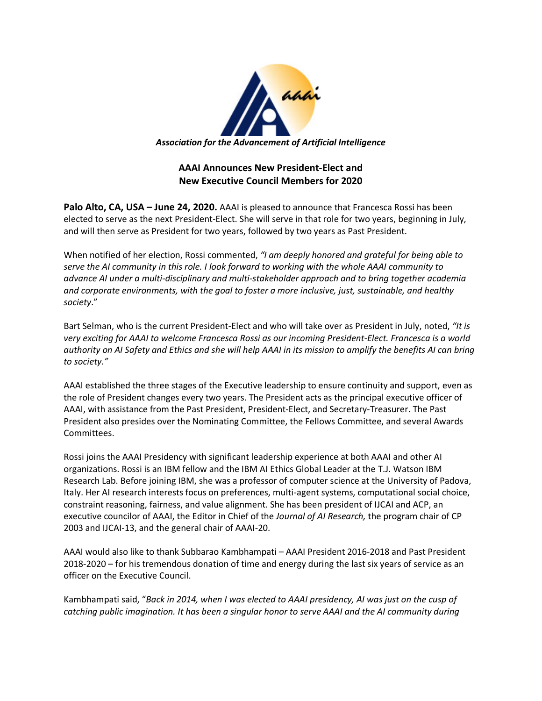

## **AAAI Announces New President-Elect and New Executive Council Members for 2020**

**Palo Alto, CA, USA – June 24, 2020.** AAAI is pleased to announce that Francesca Rossi has been elected to serve as the next President-Elect. She will serve in that role for two years, beginning in July, and will then serve as President for two years, followed by two years as Past President.

When notified of her election, Rossi commented, *"I am deeply honored and grateful for being able to serve the AI community in this role. I look forward to working with the whole AAAI community to advance AI under a multi-disciplinary and multi-stakeholder approach and to bring together academia and corporate environments, with the goal to foster a more inclusive, just, sustainable, and healthy society*."

Bart Selman, who is the current President-Elect and who will take over as President in July, noted, *"It is very exciting for AAAI to welcome Francesca Rossi as our incoming President-Elect. Francesca is a world authority on AI Safety and Ethics and she will help AAAI in its mission to amplify the benefits AI can bring to society."*

AAAI established the three stages of the Executive leadership to ensure continuity and support, even as the role of President changes every two years. The President acts as the principal executive officer of AAAI, with assistance from the Past President, President-Elect, and Secretary-Treasurer. The Past President also presides over the Nominating Committee, the Fellows Committee, and several Awards Committees.

Rossi joins the AAAI Presidency with significant leadership experience at both AAAI and other AI organizations. Rossi is an IBM fellow and the IBM AI Ethics Global Leader at the T.J. Watson IBM Research Lab. Before joining IBM, she was a professor of computer science at the University of Padova, Italy. Her AI research interests focus on preferences, multi-agent systems, computational social choice, constraint reasoning, fairness, and value alignment. She has been president of IJCAI and ACP, an executive councilor of AAAI, the Editor in Chief of the *Journal of AI Research,* the program chair of CP 2003 and IJCAI-13, and the general chair of AAAI-20.

AAAI would also like to thank Subbarao Kambhampati – AAAI President 2016-2018 and Past President 2018-2020 – for his tremendous donation of time and energy during the last six years of service as an officer on the Executive Council.

Kambhampati said, "*Back in 2014, when I was elected to AAAI presidency, AI was just on the cusp of catching public imagination. It has been a singular honor to serve AAAI and the AI community during*